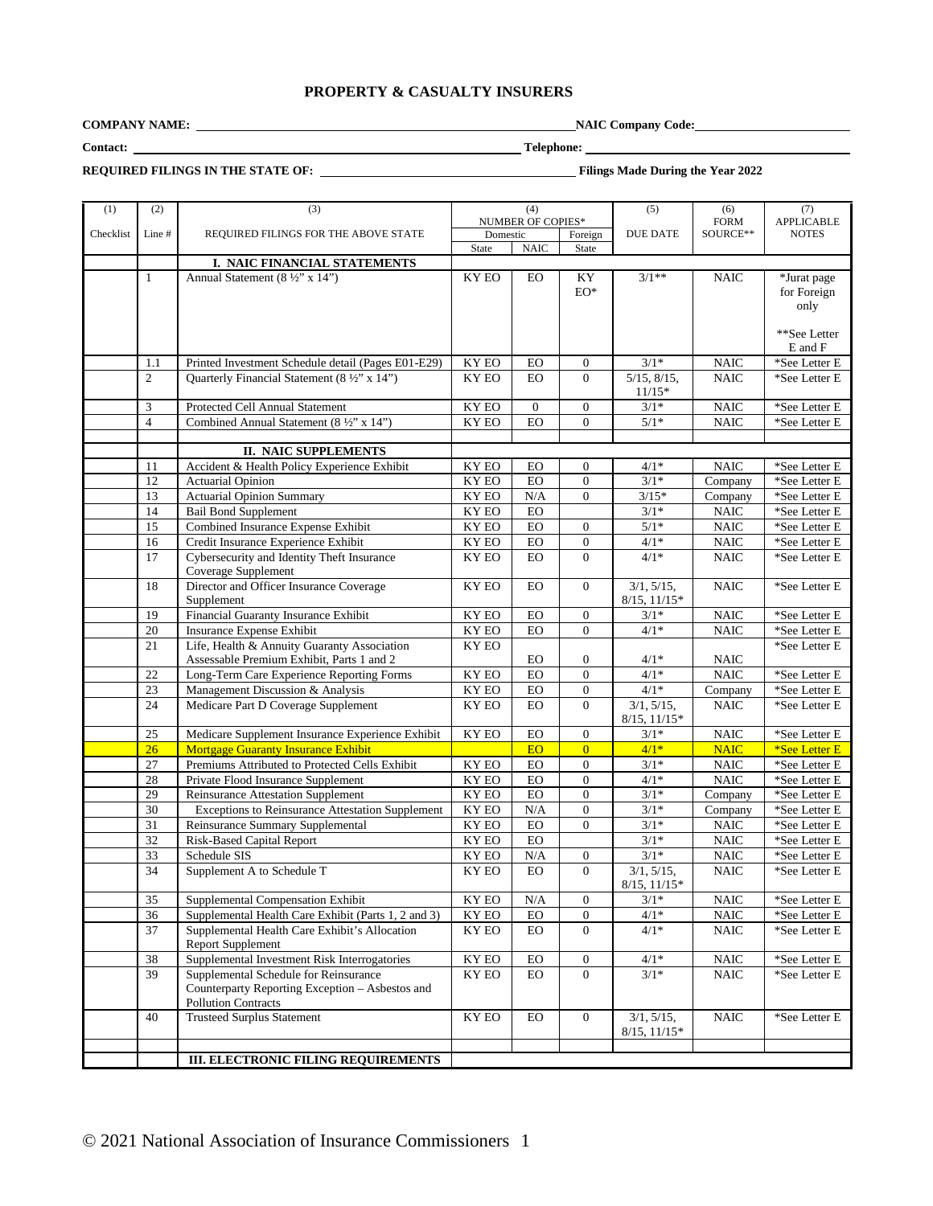# **PROPERTY & CASUALTY INSURERS**

**COMPANY NAME: NAIC Company Code:** 

**Contact: Telephone:**

**REQUIRED FILINGS IN THE STATE OF:** Filings Made During the Year 2022

| (1)       | (2)             | (3)                                                     | (4)                 |                |                                    | (5)                             | (6)         | (7)                      |
|-----------|-----------------|---------------------------------------------------------|---------------------|----------------|------------------------------------|---------------------------------|-------------|--------------------------|
|           |                 |                                                         | NUMBER OF COPIES*   |                |                                    |                                 | <b>FORM</b> | <b>APPLICABLE</b>        |
| Checklist | Line#           | REQUIRED FILINGS FOR THE ABOVE STATE                    | Domestic<br>Foreign |                |                                    | <b>DUE DATE</b>                 | SOURCE**    | <b>NOTES</b>             |
|           |                 |                                                         | State               | <b>NAIC</b>    | State                              |                                 |             |                          |
|           |                 | I. NAIC FINANCIAL STATEMENTS                            |                     |                |                                    |                                 |             |                          |
|           | $\mathbf{1}$    | Annual Statement (8 ½" x 14")                           | KY EO               | EO             | KY                                 | $3/1**$                         | <b>NAIC</b> | *Jurat page              |
|           |                 |                                                         |                     |                | $EO^*$                             |                                 |             | for Foreign              |
|           |                 |                                                         |                     |                |                                    |                                 |             | only                     |
|           |                 |                                                         |                     |                |                                    |                                 |             |                          |
|           |                 |                                                         |                     |                |                                    |                                 |             | **See Letter             |
|           |                 | Printed Investment Schedule detail (Pages E01-E29)      | <b>KY EO</b>        | EO             | 0                                  | $3/1*$                          | <b>NAIC</b> | E and F<br>*See Letter E |
|           | 1.1<br>2        | Quarterly Financial Statement (8 ½" x 14")              | KY EO               | <b>EO</b>      | $\Omega$                           | $5/15$ , $8/15$ ,               | <b>NAIC</b> | *See Letter E            |
|           |                 |                                                         |                     |                |                                    | $11/15*$                        |             |                          |
|           | 3               | Protected Cell Annual Statement                         | KY EO               | $\overline{0}$ | $\boldsymbol{0}$                   | $3/1*$                          | <b>NAIC</b> | *See Letter E            |
|           | $\overline{4}$  | Combined Annual Statement (8 1/2" x 14")                | KY EO               | EO             | $\overline{0}$                     | $5/1*$                          | <b>NAIC</b> | *See Letter E            |
|           |                 |                                                         |                     |                |                                    |                                 |             |                          |
|           |                 | <b>II. NAIC SUPPLEMENTS</b>                             |                     |                |                                    |                                 |             |                          |
|           | 11              | Accident & Health Policy Experience Exhibit             | KY EO               | EO             | $\boldsymbol{0}$                   | $4/1*$                          | <b>NAIC</b> | *See Letter E            |
|           | 12              | <b>Actuarial Opinion</b>                                | KY EO               | EO             | $\boldsymbol{0}$                   | $3/1*$                          | Company     | *See Letter E            |
|           | 13              | <b>Actuarial Opinion Summary</b>                        | KY EO               | N/A            | $\overline{0}$                     | $3/15*$                         | Company     | *See Letter E            |
|           | 14              | <b>Bail Bond Supplement</b>                             | KY EO               | EO             |                                    | $3/1*$                          | <b>NAIC</b> | *See Letter E            |
|           | 15              | Combined Insurance Expense Exhibit                      | KY EO               | ${\rm EO}$     | $\boldsymbol{0}$                   | $5/1*$                          | <b>NAIC</b> | *See Letter E            |
|           | 16              | Credit Insurance Experience Exhibit                     | KY EO               | <b>EO</b>      | $\overline{0}$                     | $4/1*$                          | <b>NAIC</b> | *See Letter E            |
|           | 17              | Cybersecurity and Identity Theft Insurance              | KY EO               | <b>EO</b>      | $\overline{0}$                     | $4/1*$                          | <b>NAIC</b> | *See Letter E            |
|           |                 | Coverage Supplement                                     |                     |                |                                    |                                 |             |                          |
|           | 18              | Director and Officer Insurance Coverage                 | KY EO               | <b>EO</b>      | $\overline{0}$                     | 3/1, 5/15,                      | <b>NAIC</b> | *See Letter E            |
|           |                 | Supplement                                              |                     |                |                                    | $8/15$ , $11/15*$               |             |                          |
|           | 19              | Financial Guaranty Insurance Exhibit                    | KY EO               | EO             | $\boldsymbol{0}$                   | $3/1*$                          | <b>NAIC</b> | *See Letter E            |
|           | 20              | Insurance Expense Exhibit                               | KY EO               | <b>EO</b>      | $\overline{0}$                     | $4/1*$                          | $\rm NAIC$  | *See Letter E            |
|           | 21              | Life, Health & Annuity Guaranty Association             | KY EO               |                |                                    |                                 |             | *See Letter E            |
|           |                 | Assessable Premium Exhibit, Parts 1 and 2               |                     | EO             | $\boldsymbol{0}$                   | $4/1*$                          | NAIC        |                          |
|           | $22\,$          | Long-Term Care Experience Reporting Forms               | KY EO               | <b>EO</b>      | $\boldsymbol{0}$                   | $4/1*$                          | <b>NAIC</b> | *See Letter E            |
|           | 23              | Management Discussion & Analysis                        | KY EO               | ${\rm EO}$     | $\boldsymbol{0}$                   | $4/1*$                          | Company     | *See Letter E            |
|           | 24              | Medicare Part D Coverage Supplement                     | KY EO               | <b>EO</b>      | $\Omega$                           | 3/1, 5/15,                      | <b>NAIC</b> | *See Letter E            |
|           |                 |                                                         |                     |                |                                    | $8/15, 11/15*$                  |             |                          |
|           | 25              | Medicare Supplement Insurance Experience Exhibit        | KY EO               | EO             | $\boldsymbol{0}$                   | $3/1*$                          | $\rm NAIC$  | *See Letter E            |
|           | 26              | <b>Mortgage Guaranty Insurance Exhibit</b>              |                     | EO             | $\overline{0}$                     | $4/1*$                          | <b>NAIC</b> | *See Letter E            |
|           | 27              | Premiums Attributed to Protected Cells Exhibit          | KY EO               | <b>EO</b>      | $\boldsymbol{0}$                   | $3/1*$                          | <b>NAIC</b> | *See Letter E            |
|           | 28              | Private Flood Insurance Supplement                      | KY EO               | <b>EO</b>      | $\overline{0}$                     | $4/1*$                          | <b>NAIC</b> | *See Letter E            |
|           | 29              | <b>Reinsurance Attestation Supplement</b>               | KY EO               | EO             | $\boldsymbol{0}$                   | $3/1*$                          | Company     | *See Letter E            |
|           | 30              | <b>Exceptions to Reinsurance Attestation Supplement</b> | KY EO               | $\rm N/A$      | $\boldsymbol{0}$                   | $3/1*$                          | Company     | *See Letter E            |
|           | $\overline{31}$ | Reinsurance Summary Supplemental                        | KY EO               | <b>EO</b>      | $\overline{0}$                     | $3/1*$                          | <b>NAIC</b> | *See Letter E            |
|           | 32              | Risk-Based Capital Report                               | KY EO               | EO             |                                    | $3/1*$                          | <b>NAIC</b> | *See Letter E            |
|           | $\overline{33}$ | Schedule SIS                                            | KY EO               | $\rm N/A$      | $\boldsymbol{0}$<br>$\overline{0}$ | $3/1*$                          | <b>NAIC</b> | *See Letter E            |
|           | 34              | Supplement A to Schedule T                              | KY EO               | <b>EO</b>      |                                    | 3/1, 5/15,<br>$8/15$ , $11/15*$ | <b>NAIC</b> | *See Letter E            |
|           | 35              | Supplemental Compensation Exhibit                       | KY EO               | $\rm N/A$      | $\overline{0}$                     | $3/1*$                          | <b>NAIC</b> | *See Letter E            |
|           | 36              | Supplemental Health Care Exhibit (Parts 1, 2 and 3)     | KY EO               | ${\rm EO}$     | $\boldsymbol{0}$                   | $4/1*$                          | <b>NAIC</b> | *See Letter E            |
|           | 37              | Supplemental Health Care Exhibit's Allocation           | KY EO               | <b>EO</b>      | $\overline{0}$                     | $4/1*$                          | <b>NAIC</b> | *See Letter E            |
|           |                 | Report Supplement                                       |                     |                |                                    |                                 |             |                          |
|           | 38              | Supplemental Investment Risk Interrogatories            | KY EO               | ${\rm EO}$     | $\boldsymbol{0}$                   | $4/1*$                          | <b>NAIC</b> | *See Letter E            |
|           | 39              | Supplemental Schedule for Reinsurance                   | KY EO               | EO             | $\boldsymbol{0}$                   | $3/1*$                          | <b>NAIC</b> | *See Letter E            |
|           |                 | Counterparty Reporting Exception - Asbestos and         |                     |                |                                    |                                 |             |                          |
|           |                 | <b>Pollution Contracts</b>                              |                     |                |                                    |                                 |             |                          |
|           | 40              | <b>Trusteed Surplus Statement</b>                       | KY EO               | <b>EO</b>      | $\overline{0}$                     | 3/1, 5/15,<br>$8/15$ , $11/15*$ | <b>NAIC</b> | *See Letter E            |
|           |                 |                                                         |                     |                |                                    |                                 |             |                          |
|           |                 | <b>III. ELECTRONIC FILING REQUIREMENTS</b>              |                     |                |                                    |                                 |             |                          |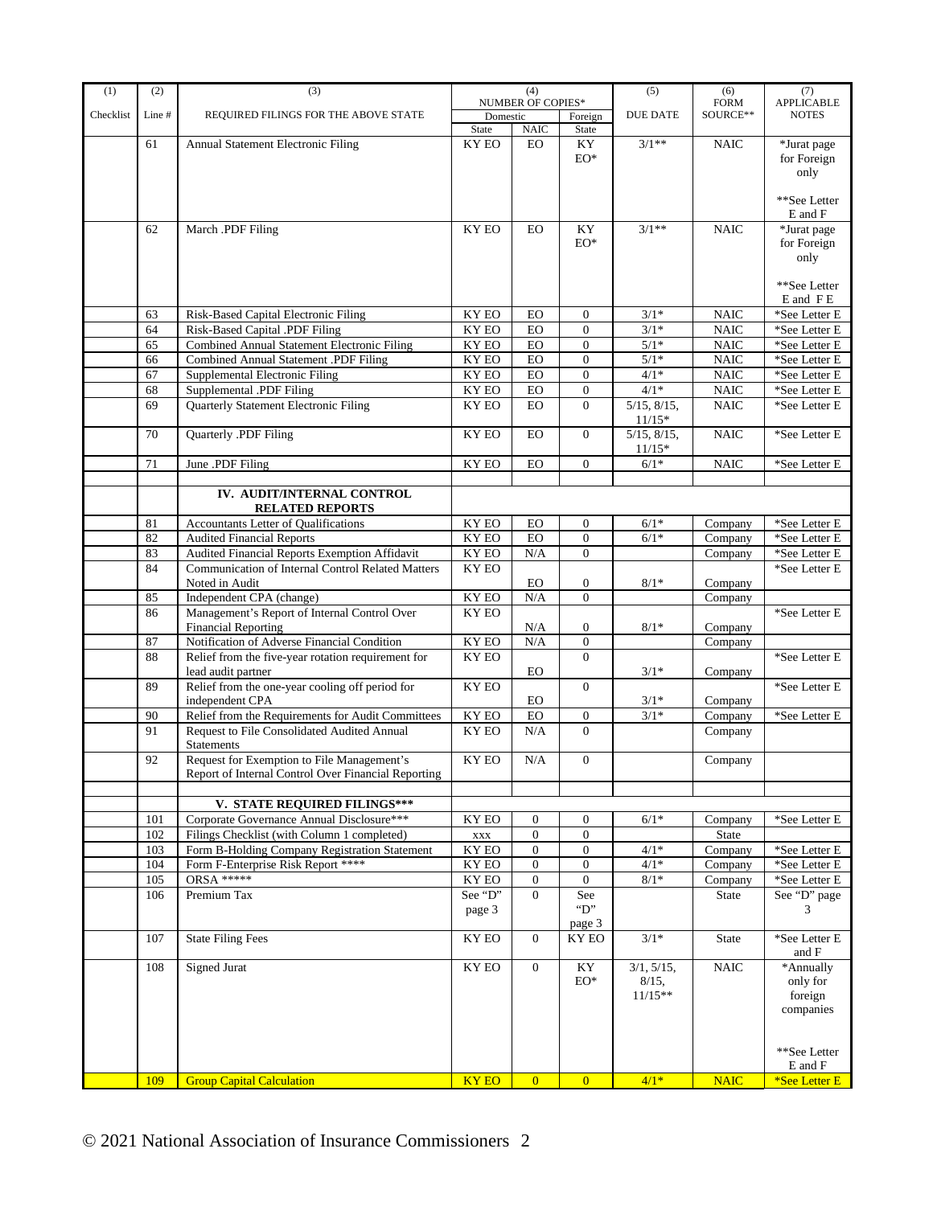| (1)       | (2)        | (3)                                                                                      | (4)                                |                              | (5)                                  | (6)                 | (7)                       |                                            |
|-----------|------------|------------------------------------------------------------------------------------------|------------------------------------|------------------------------|--------------------------------------|---------------------|---------------------------|--------------------------------------------|
| Checklist | Line#      | REQUIRED FILINGS FOR THE ABOVE STATE                                                     | NUMBER OF COPIES*<br>Domestic      |                              | Foreign                              | <b>DUE DATE</b>     | <b>FORM</b><br>SOURCE**   | <b>APPLICABLE</b><br><b>NOTES</b>          |
|           |            |                                                                                          | State                              | <b>NAIC</b>                  | State                                |                     |                           |                                            |
|           | 61         | Annual Statement Electronic Filing                                                       | KY EO                              | <b>EO</b>                    | KY                                   | $3/1**$             | <b>NAIC</b>               | *Jurat page                                |
|           |            |                                                                                          |                                    |                              | $EO^*$                               |                     |                           | for Foreign                                |
|           |            |                                                                                          |                                    |                              |                                      |                     |                           | only                                       |
|           |            |                                                                                          |                                    |                              |                                      |                     |                           |                                            |
|           |            |                                                                                          |                                    |                              |                                      |                     |                           | **See Letter<br>E and F                    |
|           | 62         | March .PDF Filing                                                                        | KY EO                              | <b>EO</b>                    | KY                                   | $3/1**$             | <b>NAIC</b>               | *Jurat page                                |
|           |            |                                                                                          |                                    |                              | $EO^*$                               |                     |                           | for Foreign                                |
|           |            |                                                                                          |                                    |                              |                                      |                     |                           | only                                       |
|           |            |                                                                                          |                                    |                              |                                      |                     |                           |                                            |
|           |            |                                                                                          |                                    |                              |                                      |                     |                           | **See Letter                               |
|           |            |                                                                                          |                                    |                              |                                      |                     |                           | E and FE                                   |
|           | 63         | Risk-Based Capital Electronic Filing                                                     | KY EO                              | EO                           | $\boldsymbol{0}$                     | $3/1*$              | <b>NAIC</b>               | *See Letter E                              |
|           | 64<br>65   | Risk-Based Capital .PDF Filing<br>Combined Annual Statement Electronic Filing            | $\mathbf{K}\mathbf{Y}$ EO<br>KY EO | <b>EO</b><br>EO              | $\boldsymbol{0}$<br>$\boldsymbol{0}$ | $3/1*$<br>$5/1*$    | $\rm NAIC$<br><b>NAIC</b> | $^*\mathbf{See}$ Letter E<br>*See Letter E |
|           | 66         | Combined Annual Statement .PDF Filing                                                    | KY EO                              | EO                           | $\overline{0}$                       | $5/1*$              | $\rm NAIC$                | *See Letter E                              |
|           | 67         | Supplemental Electronic Filing                                                           | KY EO                              | ${\rm EO}$                   | $\overline{0}$                       | $4/1*$              | $\rm NAIC$                | *See Letter E                              |
|           | 68         | Supplemental .PDF Filing                                                                 | KY EO                              | EO                           | $\boldsymbol{0}$                     | $4/1*$              | <b>NAIC</b>               | *See Letter E                              |
|           | 69         | Quarterly Statement Electronic Filing                                                    | KY EO                              | EO                           | $\Omega$                             | $5/15$ , $8/15$ ,   | <b>NAIC</b>               | *See Letter E                              |
|           |            |                                                                                          |                                    |                              |                                      | $11/15*$            |                           |                                            |
|           | 70         | Quarterly .PDF Filing                                                                    | KY EO                              | <b>EO</b>                    | $\overline{0}$                       | $5/15$ , $8/15$ ,   | <b>NAIC</b>               | *See Letter E                              |
|           |            |                                                                                          |                                    |                              |                                      | $11/15*$            |                           |                                            |
|           | 71         | June .PDF Filing                                                                         | KY EO                              | <b>EO</b>                    | $\overline{0}$                       | $6/1\,^*$           | <b>NAIC</b>               | *See Letter E                              |
|           |            |                                                                                          |                                    |                              |                                      |                     |                           |                                            |
|           |            | IV. AUDIT/INTERNAL CONTROL<br><b>RELATED REPORTS</b>                                     |                                    |                              |                                      |                     |                           |                                            |
|           | 81         | <b>Accountants Letter of Oualifications</b>                                              | KY EO                              | EO                           | $\overline{0}$                       | $6/1*$              | Company                   | *See Letter E                              |
|           | 82         | <b>Audited Financial Reports</b>                                                         | KY EO                              | <b>EO</b>                    | $\overline{0}$                       | $6/1*$              | Company                   | *See Letter E                              |
|           | 83         | Audited Financial Reports Exemption Affidavit                                            | KY EO                              | N/A                          | $\boldsymbol{0}$                     |                     | Company                   | *See Letter E                              |
|           | 84         | <b>Communication of Internal Control Related Matters</b>                                 | KY EO                              |                              |                                      |                     |                           | *See Letter E                              |
|           |            | Noted in Audit                                                                           |                                    | EO.                          | 0                                    | $8/1*$              | Company                   |                                            |
|           | 85         | Independent CPA (change)                                                                 | KY EO                              | N/A                          | $\boldsymbol{0}$                     |                     | Company                   |                                            |
|           | 86         | Management's Report of Internal Control Over                                             | KY EO                              |                              |                                      |                     |                           | *See Letter E                              |
|           |            | <b>Financial Reporting</b>                                                               |                                    | N/A                          | $\boldsymbol{0}$                     | $8/1*$              | Company                   |                                            |
|           | 87         | Notification of Adverse Financial Condition                                              | KY EO                              | N/A                          | $\boldsymbol{0}$                     |                     | Company                   |                                            |
|           | 88         | Relief from the five-year rotation requirement for<br>lead audit partner                 | KY EO                              |                              | $\overline{0}$                       | $3/1*$              |                           | *See Letter E                              |
|           | 89         | Relief from the one-year cooling off period for                                          | KY EO                              | EO.                          | $\overline{0}$                       |                     | Company                   | *See Letter E                              |
|           |            | independent CPA                                                                          |                                    | EO                           |                                      | $3/1^{\ast}$        | Company                   |                                            |
|           | 90         | Relief from the Requirements for Audit Committees                                        | KY EO                              | EO                           | $\overline{0}$                       | $3/1*$              | Company                   | *See Letter E                              |
|           | 91         | Request to File Consolidated Audited Annual                                              | KY EO                              | N/A                          | $\overline{0}$                       |                     | Company                   |                                            |
|           |            | <b>Statements</b>                                                                        |                                    |                              |                                      |                     |                           |                                            |
|           | 92         | Request for Exemption to File Management's                                               | KY EO                              | N/A                          | $\boldsymbol{0}$                     |                     | Company                   |                                            |
|           |            | Report of Internal Control Over Financial Reporting                                      |                                    |                              |                                      |                     |                           |                                            |
|           |            |                                                                                          |                                    |                              |                                      |                     |                           |                                            |
|           |            | V. STATE REQUIRED FILINGS***                                                             |                                    |                              |                                      |                     |                           |                                            |
|           | 101<br>102 | Corporate Governance Annual Disclosure***<br>Filings Checklist (with Column 1 completed) | <b>KY EO</b>                       | $\mathbf{0}$<br>$\mathbf{0}$ | $\boldsymbol{0}$                     | $6/1*$              | Company<br>State          | *See Letter E                              |
|           | 103        | Form B-Holding Company Registration Statement                                            | $\mathbf{XXX}$<br>KY EO            | $\mathbf{0}$                 | $\boldsymbol{0}$<br>$\boldsymbol{0}$ | $4/1*$              | Company                   | *See Letter E                              |
|           | 104        | Form F-Enterprise Risk Report ****                                                       | KY EO                              | $\mathbf{0}$                 | $\boldsymbol{0}$                     | $4/1*$              | Company                   | *See Letter E                              |
|           | 105        | <b>ORSA *****</b>                                                                        | KY EO                              | $\mathbf{0}$                 | $\boldsymbol{0}$                     | $8/1*$              | Company                   | *See Letter E                              |
|           | 106        | Premium Tax                                                                              | See "D"                            | $\overline{0}$               | See                                  |                     | State                     | See "D" page                               |
|           |            |                                                                                          | page 3                             |                              | " $D$ "                              |                     |                           | 3                                          |
|           |            |                                                                                          |                                    |                              | page 3                               |                     |                           |                                            |
|           | 107        | <b>State Filing Fees</b>                                                                 | KY EO                              | $\overline{0}$               | <b>KY EO</b>                         | $3/1*$              | <b>State</b>              | *See Letter E                              |
|           |            |                                                                                          |                                    |                              |                                      |                     |                           | and F                                      |
|           | 108        | <b>Signed Jurat</b>                                                                      | KY EO                              | $\overline{0}$               | KY<br>${\rm EO}^*$                   | 3/1, 5/15,<br>8/15, | $\rm NAIC$                | $*\overline{A}$ nnually<br>only for        |
|           |            |                                                                                          |                                    |                              |                                      | $11/15**$           |                           | foreign                                    |
|           |            |                                                                                          |                                    |                              |                                      |                     |                           | companies                                  |
|           |            |                                                                                          |                                    |                              |                                      |                     |                           |                                            |
|           |            |                                                                                          |                                    |                              |                                      |                     |                           |                                            |
|           |            |                                                                                          |                                    |                              |                                      |                     |                           | **See Letter                               |
|           |            |                                                                                          |                                    |                              |                                      |                     |                           | E and F                                    |
|           | 109        | <b>Group Capital Calculation</b>                                                         | <b>KY EO</b>                       | $\overline{0}$               | $\overline{0}$                       | $4/1*$              | <b>NAIC</b>               | *See Letter E                              |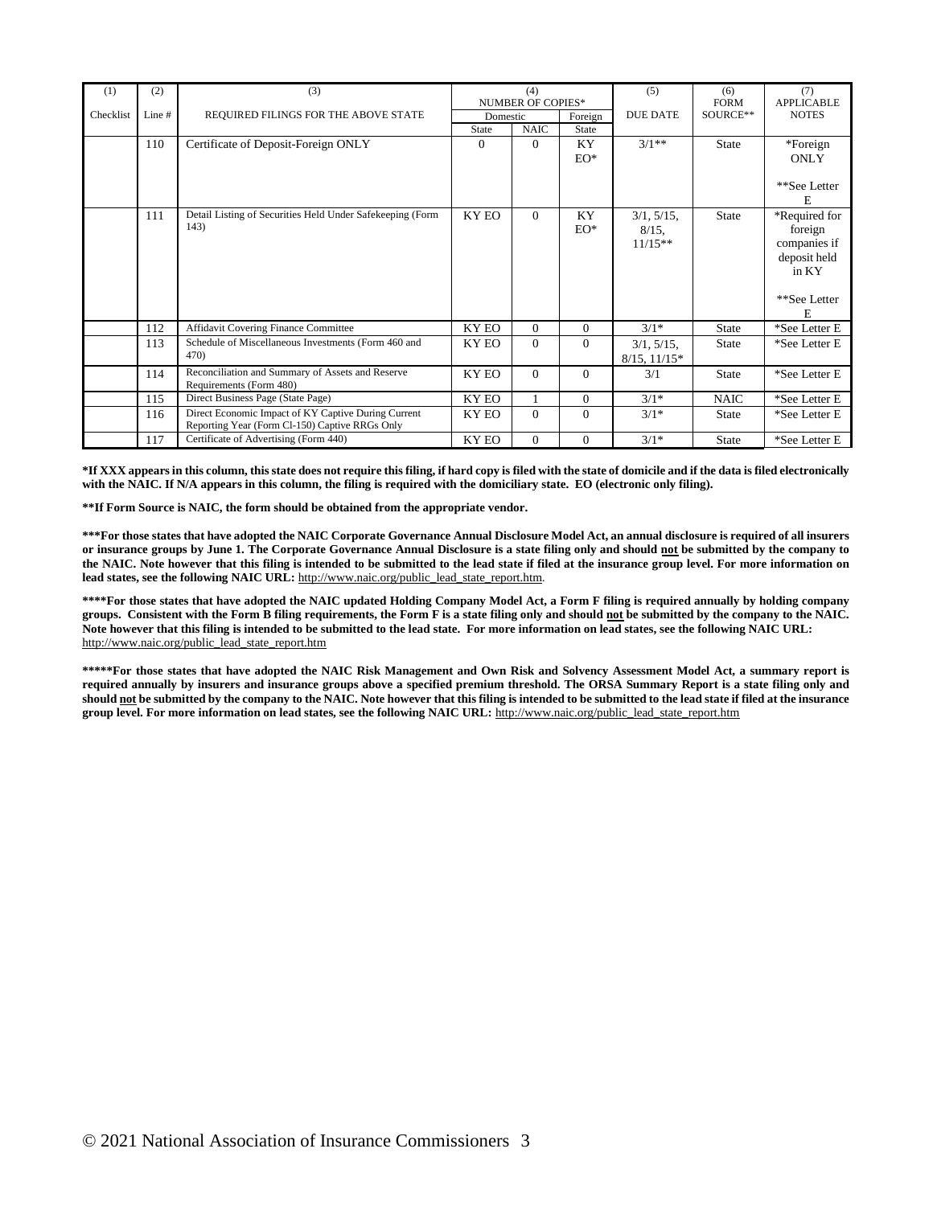| (1)       | (2)    | (3)                                                                                                   | (4)                      |             | (5)            | (6)                                 | (7)          |                                                                                   |
|-----------|--------|-------------------------------------------------------------------------------------------------------|--------------------------|-------------|----------------|-------------------------------------|--------------|-----------------------------------------------------------------------------------|
|           |        |                                                                                                       | <b>NUMBER OF COPIES*</b> |             |                |                                     | <b>FORM</b>  | <b>APPLICABLE</b>                                                                 |
| Checklist | Line # | REQUIRED FILINGS FOR THE ABOVE STATE                                                                  | Domestic                 |             | Foreign        | <b>DUE DATE</b>                     | SOURCE**     | <b>NOTES</b>                                                                      |
|           |        |                                                                                                       | <b>State</b>             | <b>NAIC</b> | <b>State</b>   |                                     |              |                                                                                   |
|           | 110    | Certificate of Deposit-Foreign ONLY                                                                   | $\overline{0}$           | $\Omega$    | KY<br>$EO^*$   | $3/1**$                             | <b>State</b> | *Foreign<br><b>ONLY</b>                                                           |
|           |        |                                                                                                       |                          |             |                |                                     |              | **See Letter<br>E                                                                 |
|           | 111    | Detail Listing of Securities Held Under Safekeeping (Form<br>143)                                     | <b>KY EO</b>             | $\Omega$    | KY<br>$EO^*$   | 3/1, 5/15,<br>$8/15$ .<br>$11/15**$ | <b>State</b> | *Required for<br>foreign<br>companies if<br>deposit held<br>in KY<br>**See Letter |
|           |        |                                                                                                       |                          |             |                |                                     |              | F.                                                                                |
|           | 112    | Affidavit Covering Finance Committee                                                                  | <b>KY EO</b>             | $\Omega$    | $\overline{0}$ | $3/1*$                              | <b>State</b> | *See Letter E                                                                     |
|           | 113    | Schedule of Miscellaneous Investments (Form 460 and<br>47 <sub>0</sub>                                | KY EO                    | $\Omega$    | $\overline{0}$ | $3/1, 5/15$ ,<br>$8/15$ , $11/15*$  | <b>State</b> | *See Letter E                                                                     |
|           | 114    | Reconciliation and Summary of Assets and Reserve<br>Requirements (Form 480)                           | KY EO                    | $\Omega$    | $\Omega$       | 3/1                                 | <b>State</b> | *See Letter E                                                                     |
|           | 115    | Direct Business Page (State Page)                                                                     | KY EO                    | 1           | $\overline{0}$ | $3/1*$                              | <b>NAIC</b>  | *See Letter E                                                                     |
|           | 116    | Direct Economic Impact of KY Captive During Current<br>Reporting Year (Form Cl-150) Captive RRGs Only | KY EO                    | $\Omega$    | $\Omega$       | $3/1*$                              | <b>State</b> | *See Letter E                                                                     |
|           | 117    | Certificate of Advertising (Form 440)                                                                 | KY EO                    | $\Omega$    | $\overline{0}$ | $3/1*$                              | <b>State</b> | *See Letter E                                                                     |

**\*If XXX appears in this column, this state does not require this filing, if hard copy is filed with the state of domicile and if the data is filed electronically with the NAIC. If N/A appears in this column, the filing is required with the domiciliary state. EO (electronic only filing).**

**\*\*If Form Source is NAIC, the form should be obtained from the appropriate vendor.**

**\*\*\*For those states that have adopted the NAIC Corporate Governance Annual Disclosure Model Act, an annual disclosure is required of all insurers or insurance groups by June 1. The Corporate Governance Annual Disclosure is a state filing only and should not be submitted by the company to the NAIC. Note however that this filing is intended to be submitted to the lead state if filed at the insurance group level. For more information on lead states, see the following NAIC URL:** http://www.naic.org/public\_lead\_state\_report.htm.

**\*\*\*\*For those states that have adopted the NAIC updated Holding Company Model Act, a Form F filing is required annually by holding company groups. Consistent with the Form B filing requirements, the Form F is a state filing only and should not be submitted by the company to the NAIC. Note however that this filing is intended to be submitted to the lead state. For more information on lead states, see the following NAIC URL:** http://www.naic.org/public\_lead\_state\_report.htm

**\*\*\*\*\*For those states that have adopted the NAIC Risk Management and Own Risk and Solvency Assessment Model Act, a summary report is required annually by insurers and insurance groups above a specified premium threshold. The ORSA Summary Report is a state filing only and should not be submitted by the company to the NAIC. Note however that this filing is intended to be submitted to the lead state if filed at the insurance group level. For more information on lead states, see the following NAIC URL:** http://www.naic.org/public\_lead\_state\_report.htm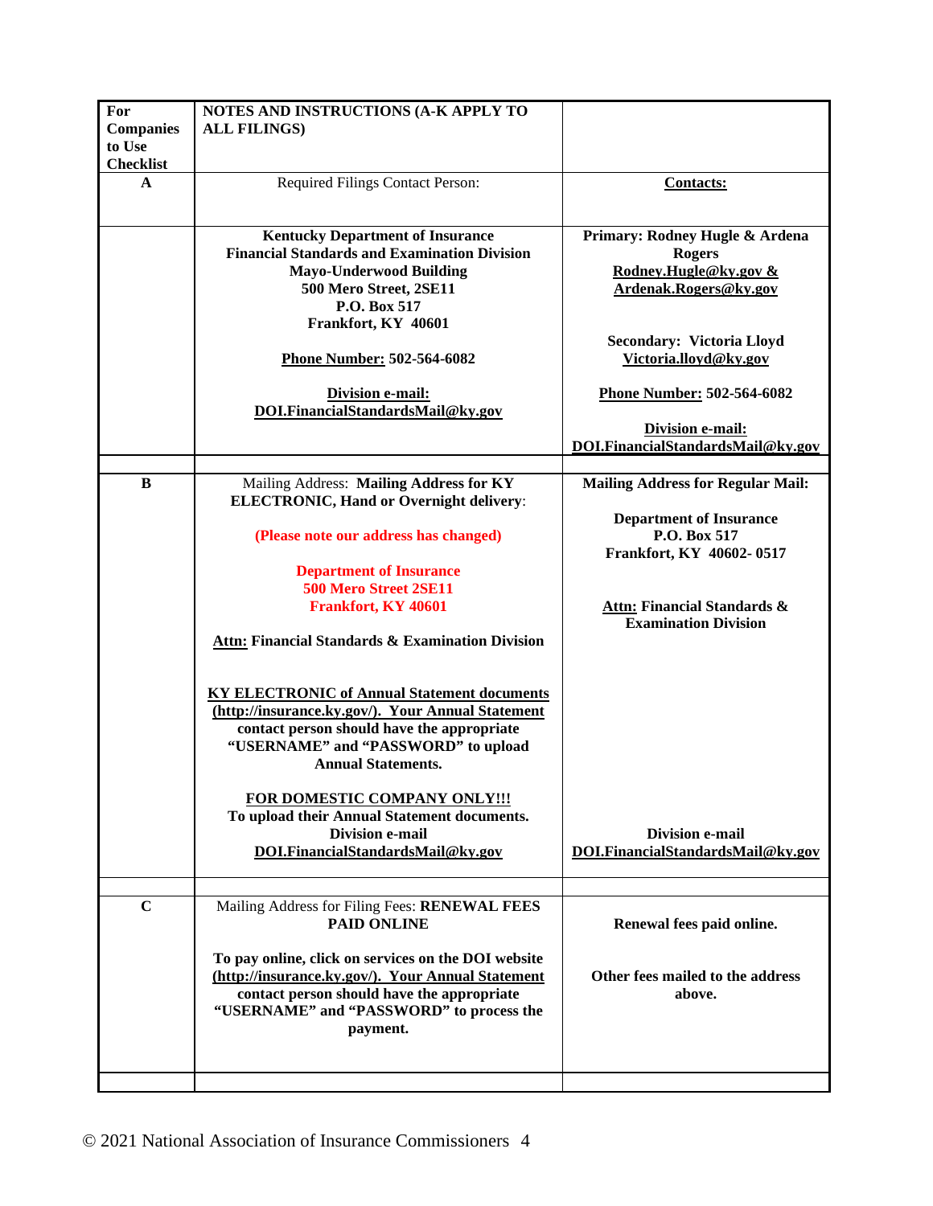| For<br><b>Companies</b><br>to Use<br><b>Checklist</b> | NOTES AND INSTRUCTIONS (A-K APPLY TO<br><b>ALL FILINGS)</b>                                                                                                                                                               |                                                                                                   |
|-------------------------------------------------------|---------------------------------------------------------------------------------------------------------------------------------------------------------------------------------------------------------------------------|---------------------------------------------------------------------------------------------------|
| A                                                     | Required Filings Contact Person:                                                                                                                                                                                          | <b>Contacts:</b>                                                                                  |
|                                                       | <b>Kentucky Department of Insurance</b><br><b>Financial Standards and Examination Division</b><br><b>Mayo-Underwood Building</b><br>500 Mero Street, 2SE11<br>P.O. Box 517                                                | Primary: Rodney Hugle & Ardena<br><b>Rogers</b><br>Rodney.Hugle@ky.gov &<br>Ardenak.Rogers@ky.gov |
|                                                       | Frankfort, KY 40601<br>Phone Number: 502-564-6082                                                                                                                                                                         | <b>Secondary: Victoria Lloyd</b><br>Victoria.lloyd@ky.gov                                         |
|                                                       | Division e-mail:<br>DOI.FinancialStandardsMail@ky.gov                                                                                                                                                                     | <b>Phone Number: 502-564-6082</b>                                                                 |
|                                                       |                                                                                                                                                                                                                           | <b>Division e-mail:</b><br>DOI.FinancialStandardsMail@ky.gov                                      |
| B                                                     | Mailing Address: Mailing Address for KY<br><b>ELECTRONIC, Hand or Overnight delivery:</b>                                                                                                                                 | <b>Mailing Address for Regular Mail:</b>                                                          |
|                                                       | (Please note our address has changed)                                                                                                                                                                                     | <b>Department of Insurance</b><br>P.O. Box 517<br>Frankfort, KY 40602-0517                        |
|                                                       | <b>Department of Insurance</b><br>500 Mero Street 2SE11                                                                                                                                                                   |                                                                                                   |
|                                                       | <b>Frankfort, KY 40601</b>                                                                                                                                                                                                | <b>Attn: Financial Standards &amp;</b><br><b>Examination Division</b>                             |
|                                                       | <b>Attn: Financial Standards &amp; Examination Division</b>                                                                                                                                                               |                                                                                                   |
|                                                       | <b>KY ELECTRONIC of Annual Statement documents</b><br>(http://insurance.ky.gov/). Your Annual Statement<br>contact person should have the appropriate<br>"USERNAME" and "PASSWORD" to upload<br><b>Annual Statements.</b> |                                                                                                   |
|                                                       | FOR DOMESTIC COMPANY ONLY!!!<br>To upload their Annual Statement documents.<br><b>Division e-mail</b><br>DOI.FinancialStandardsMail@ky.gov                                                                                | <b>Division e-mail</b><br>DOI.FinancialStandardsMail@ky.gov                                       |
| $\mathbf C$                                           | Mailing Address for Filing Fees: RENEWAL FEES                                                                                                                                                                             |                                                                                                   |
|                                                       | <b>PAID ONLINE</b>                                                                                                                                                                                                        | Renewal fees paid online.                                                                         |
|                                                       | To pay online, click on services on the DOI website<br>(http://insurance.ky.gov/). Your Annual Statement<br>contact person should have the appropriate<br>"USERNAME" and "PASSWORD" to process the<br>payment.            | Other fees mailed to the address<br>above.                                                        |
|                                                       |                                                                                                                                                                                                                           |                                                                                                   |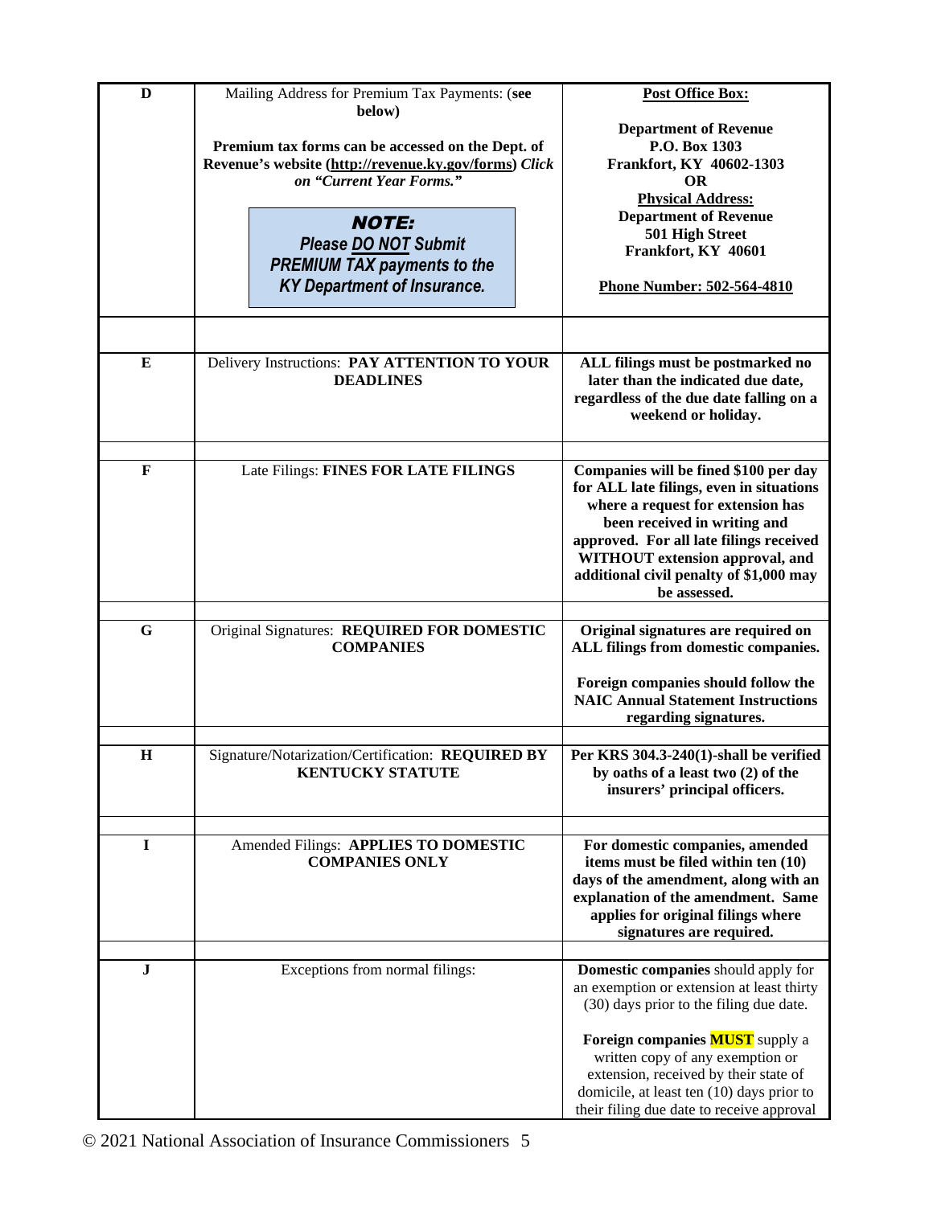| D            | Mailing Address for Premium Tax Payments: (see                                    | <b>Post Office Box:</b>                                                          |
|--------------|-----------------------------------------------------------------------------------|----------------------------------------------------------------------------------|
|              | below)                                                                            | <b>Department of Revenue</b>                                                     |
|              | Premium tax forms can be accessed on the Dept. of                                 | P.O. Box 1303                                                                    |
|              | Revenue's website (http://revenue.ky.gov/forms) Click<br>on "Current Year Forms." | Frankfort, KY 40602-1303<br><b>OR</b>                                            |
|              |                                                                                   | <b>Physical Address:</b>                                                         |
|              | <b>NOTE:</b>                                                                      | <b>Department of Revenue</b>                                                     |
|              | Please DO NOT Submit                                                              | 501 High Street                                                                  |
|              | <b>PREMIUM TAX payments to the</b>                                                | Frankfort, KY 40601                                                              |
|              | <b>KY Department of Insurance.</b>                                                | Phone Number: 502-564-4810                                                       |
|              |                                                                                   |                                                                                  |
|              |                                                                                   |                                                                                  |
| E            | Delivery Instructions: PAY ATTENTION TO YOUR                                      | ALL filings must be postmarked no                                                |
|              | <b>DEADLINES</b>                                                                  | later than the indicated due date,                                               |
|              |                                                                                   | regardless of the due date falling on a                                          |
|              |                                                                                   | weekend or holiday.                                                              |
|              |                                                                                   |                                                                                  |
| $\mathbf{F}$ | Late Filings: FINES FOR LATE FILINGS                                              | Companies will be fined \$100 per day                                            |
|              |                                                                                   | for ALL late filings, even in situations<br>where a request for extension has    |
|              |                                                                                   | been received in writing and                                                     |
|              |                                                                                   | approved. For all late filings received                                          |
|              |                                                                                   | WITHOUT extension approval, and                                                  |
|              |                                                                                   | additional civil penalty of \$1,000 may                                          |
|              |                                                                                   | be assessed.                                                                     |
| $\mathbf G$  | Original Signatures: REQUIRED FOR DOMESTIC                                        | Original signatures are required on                                              |
|              | <b>COMPANIES</b>                                                                  | ALL filings from domestic companies.                                             |
|              |                                                                                   | Foreign companies should follow the                                              |
|              |                                                                                   | <b>NAIC Annual Statement Instructions</b>                                        |
|              |                                                                                   | regarding signatures.                                                            |
| $\bf H$      | Signature/Notarization/Certification: REQUIRED BY                                 | Per KRS 304.3-240(1)-shall be verified                                           |
|              | <b>KENTUCKY STATUTE</b>                                                           | by oaths of a least two (2) of the                                               |
|              |                                                                                   | insurers' principal officers.                                                    |
|              |                                                                                   |                                                                                  |
| $\mathbf I$  | Amended Filings: APPLIES TO DOMESTIC                                              | For domestic companies, amended                                                  |
|              | <b>COMPANIES ONLY</b>                                                             | items must be filed within ten (10)                                              |
|              |                                                                                   | days of the amendment, along with an<br>explanation of the amendment. Same       |
|              |                                                                                   | applies for original filings where                                               |
|              |                                                                                   | signatures are required.                                                         |
|              |                                                                                   |                                                                                  |
| J            | Exceptions from normal filings:                                                   | Domestic companies should apply for<br>an exemption or extension at least thirty |
|              |                                                                                   | (30) days prior to the filing due date.                                          |
|              |                                                                                   | Foreign companies <b>MUST</b> supply a                                           |
|              |                                                                                   | written copy of any exemption or                                                 |
|              |                                                                                   | extension, received by their state of                                            |
|              |                                                                                   | domicile, at least ten (10) days prior to                                        |
|              |                                                                                   | their filing due date to receive approval                                        |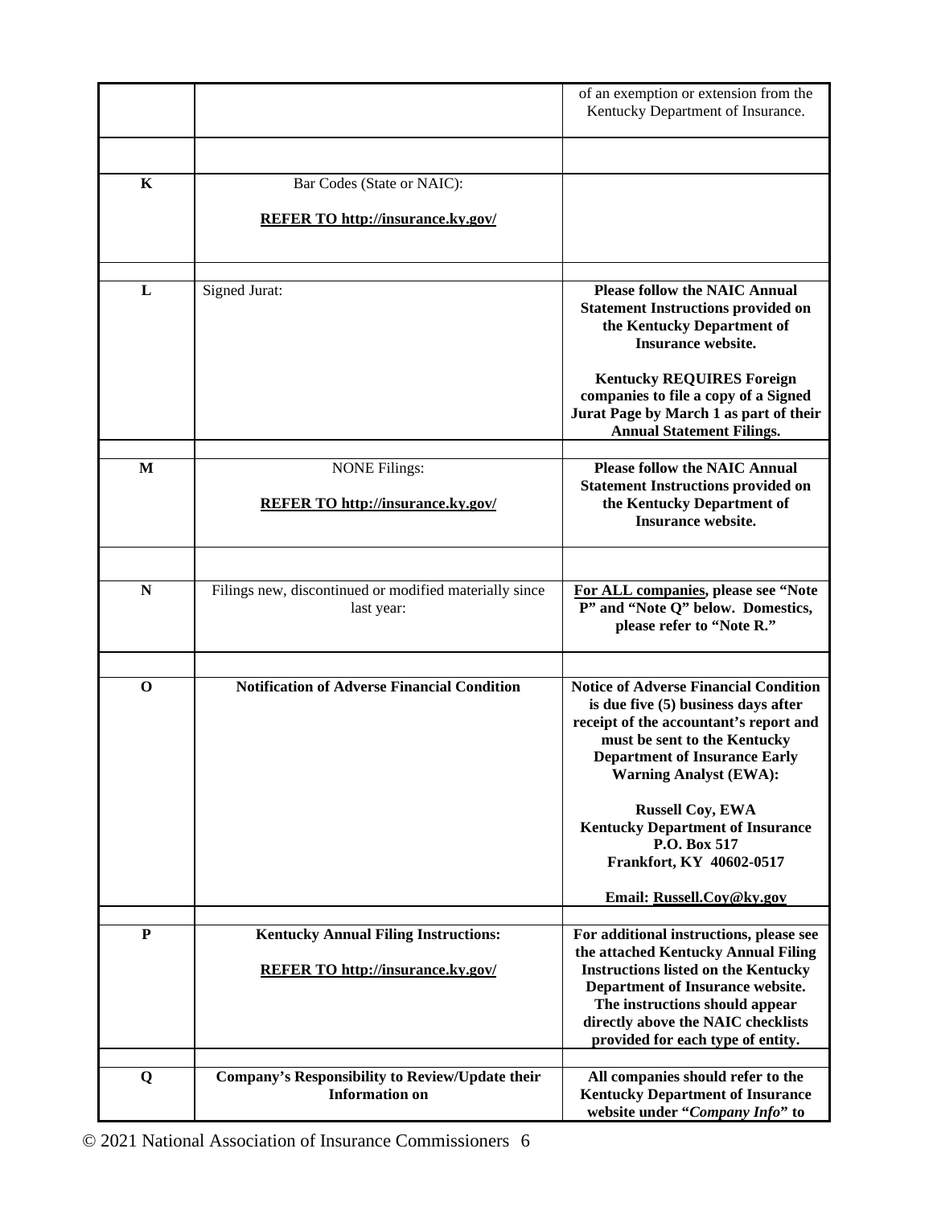|             |                                                                      | of an exemption or extension from the<br>Kentucky Department of Insurance.                                                                                                                                                             |
|-------------|----------------------------------------------------------------------|----------------------------------------------------------------------------------------------------------------------------------------------------------------------------------------------------------------------------------------|
|             |                                                                      |                                                                                                                                                                                                                                        |
| K           | Bar Codes (State or NAIC):                                           |                                                                                                                                                                                                                                        |
|             | <b>REFER TO http://insurance.ky.gov/</b>                             |                                                                                                                                                                                                                                        |
| L           | Signed Jurat:                                                        | <b>Please follow the NAIC Annual</b><br><b>Statement Instructions provided on</b><br>the Kentucky Department of<br><b>Insurance website.</b>                                                                                           |
|             |                                                                      | <b>Kentucky REQUIRES Foreign</b><br>companies to file a copy of a Signed<br>Jurat Page by March 1 as part of their<br><b>Annual Statement Filings.</b>                                                                                 |
| M           | <b>NONE Filings:</b><br><b>REFER TO http://insurance.ky.gov/</b>     | <b>Please follow the NAIC Annual</b><br><b>Statement Instructions provided on</b><br>the Kentucky Department of<br><b>Insurance website.</b>                                                                                           |
|             |                                                                      |                                                                                                                                                                                                                                        |
| $\mathbf N$ | Filings new, discontinued or modified materially since<br>last year: | For ALL companies, please see "Note<br>P" and "Note Q" below. Domestics,<br>please refer to "Note R."                                                                                                                                  |
|             |                                                                      |                                                                                                                                                                                                                                        |
| $\mathbf 0$ | <b>Notification of Adverse Financial Condition</b>                   | <b>Notice of Adverse Financial Condition</b><br>is due five (5) business days after<br>receipt of the accountant's report and<br>must be sent to the Kentucky<br><b>Department of Insurance Early</b><br><b>Warning Analyst (EWA):</b> |
|             |                                                                      | <b>Russell Coy, EWA</b><br><b>Kentucky Department of Insurance</b><br>P.O. Box 517<br>Frankfort, KY 40602-0517                                                                                                                         |
|             |                                                                      | Email: Russell.Coy@ky.gov                                                                                                                                                                                                              |
| ${\bf P}$   | <b>Kentucky Annual Filing Instructions:</b>                          | For additional instructions, please see<br>the attached Kentucky Annual Filing                                                                                                                                                         |
|             | <b>REFER TO http://insurance.ky.gov/</b>                             | <b>Instructions listed on the Kentucky</b><br>Department of Insurance website.<br>The instructions should appear<br>directly above the NAIC checklists<br>provided for each type of entity.                                            |
| Q           | Company's Responsibility to Review/Update their                      | All companies should refer to the                                                                                                                                                                                                      |
|             | <b>Information</b> on                                                | <b>Kentucky Department of Insurance</b><br>website under "Company Info" to                                                                                                                                                             |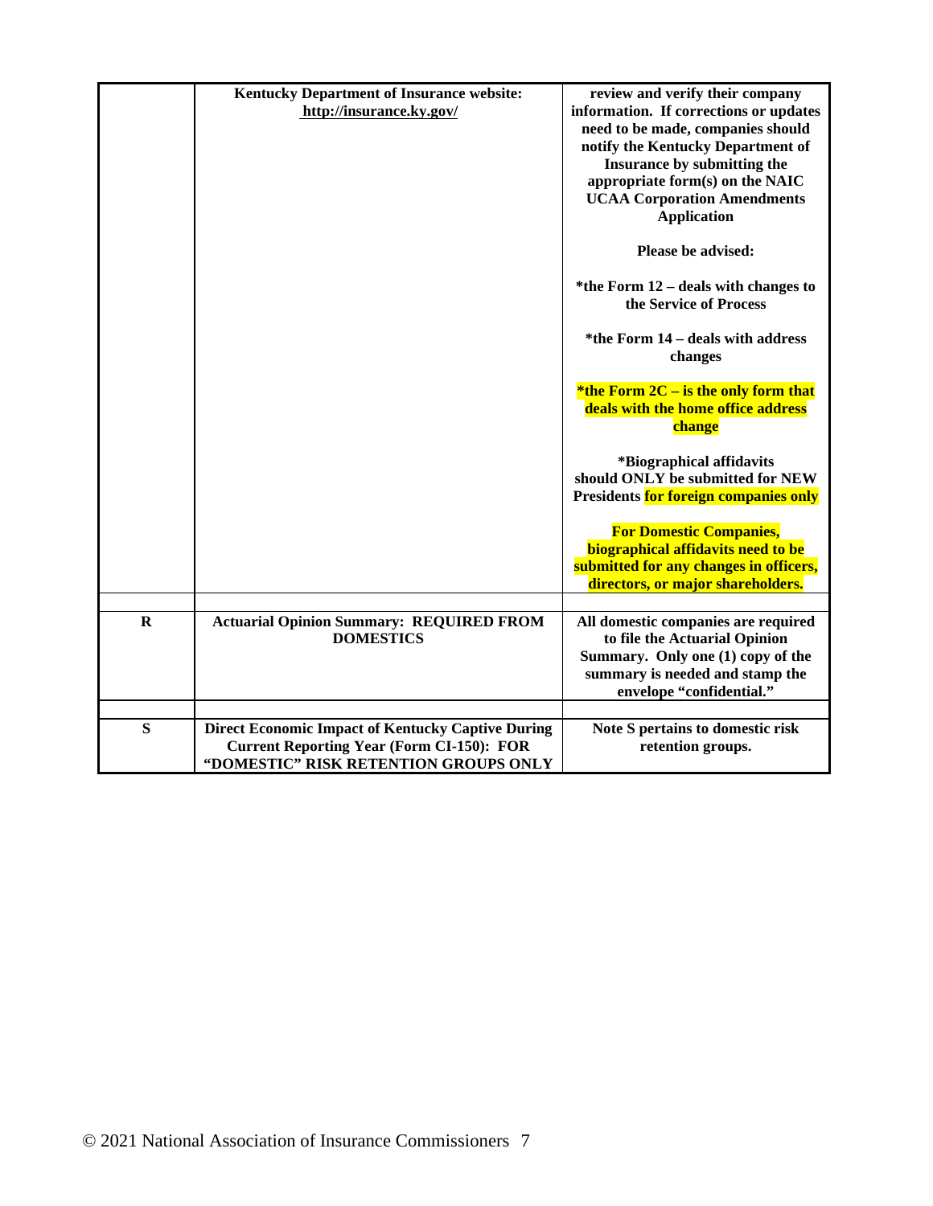|             | <b>Kentucky Department of Insurance website:</b><br>http://insurance.ky.gov/                                                                          | review and verify their company<br>information. If corrections or updates<br>need to be made, companies should<br>notify the Kentucky Department of<br>Insurance by submitting the<br>appropriate form(s) on the NAIC<br><b>UCAA Corporation Amendments</b><br><b>Application</b> |
|-------------|-------------------------------------------------------------------------------------------------------------------------------------------------------|-----------------------------------------------------------------------------------------------------------------------------------------------------------------------------------------------------------------------------------------------------------------------------------|
|             |                                                                                                                                                       | Please be advised:                                                                                                                                                                                                                                                                |
|             |                                                                                                                                                       | *the Form $12$ – deals with changes to<br>the Service of Process                                                                                                                                                                                                                  |
|             |                                                                                                                                                       | *the Form 14 - deals with address<br>changes                                                                                                                                                                                                                                      |
|             |                                                                                                                                                       | *the Form $2C -$ is the only form that<br>deals with the home office address<br>change                                                                                                                                                                                            |
|             |                                                                                                                                                       | *Biographical affidavits<br>should ONLY be submitted for NEW<br>Presidents for foreign companies only                                                                                                                                                                             |
|             |                                                                                                                                                       | <b>For Domestic Companies,</b><br>biographical affidavits need to be<br>submitted for any changes in officers,<br>directors, or major shareholders.                                                                                                                               |
| $\mathbf R$ | <b>Actuarial Opinion Summary: REQUIRED FROM</b>                                                                                                       | All domestic companies are required                                                                                                                                                                                                                                               |
|             | <b>DOMESTICS</b>                                                                                                                                      | to file the Actuarial Opinion<br>Summary. Only one (1) copy of the<br>summary is needed and stamp the<br>envelope "confidential."                                                                                                                                                 |
| S           | <b>Direct Economic Impact of Kentucky Captive During</b><br><b>Current Reporting Year (Form CI-150): FOR</b><br>"DOMESTIC" RISK RETENTION GROUPS ONLY | Note S pertains to domestic risk<br>retention groups.                                                                                                                                                                                                                             |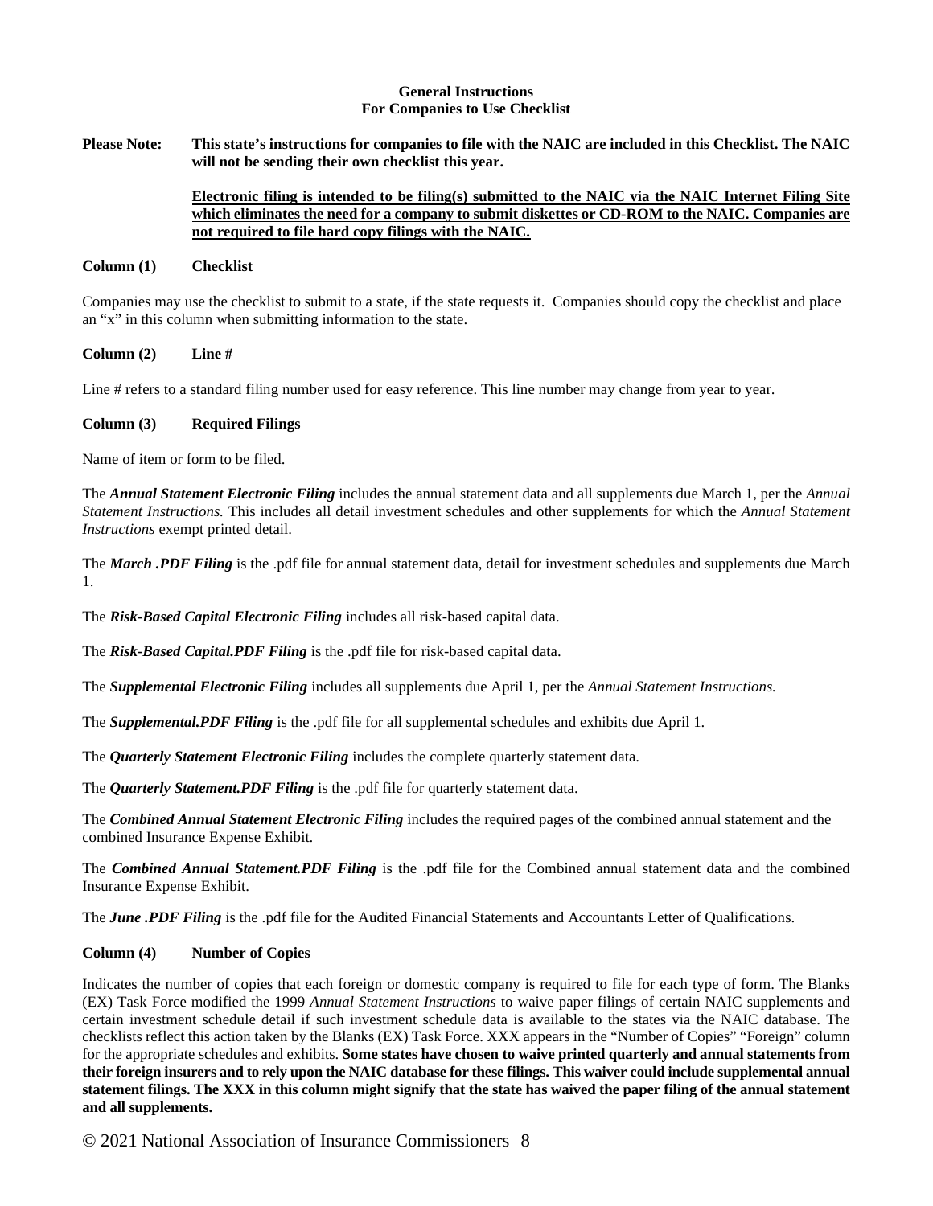### **General Instructions For Companies to Use Checklist**

**Please Note: This state's instructions for companies to file with the NAIC are included in this Checklist. The NAIC will not be sending their own checklist this year.**

## **Electronic filing is intended to be filing(s) submitted to the NAIC via the NAIC Internet Filing Site which eliminates the need for a company to submit diskettes or CD-ROM to the NAIC. Companies are not required to file hard copy filings with the NAIC.**

### **Column (1) Checklist**

Companies may use the checklist to submit to a state, if the state requests it. Companies should copy the checklist and place an "x" in this column when submitting information to the state.

### **Column (2) Line #**

Line # refers to a standard filing number used for easy reference. This line number may change from year to year.

### **Column (3) Required Filings**

Name of item or form to be filed.

The *Annual Statement Electronic Filing* includes the annual statement data and all supplements due March 1, per the *Annual Statement Instructions.* This includes all detail investment schedules and other supplements for which the *Annual Statement Instructions* exempt printed detail.

The *March .PDF Filing* is the .pdf file for annual statement data, detail for investment schedules and supplements due March 1.

The *Risk-Based Capital Electronic Filing* includes all risk-based capital data.

The *Risk-Based Capital.PDF Filing* is the .pdf file for risk-based capital data.

The *Supplemental Electronic Filing* includes all supplements due April 1, per the *Annual Statement Instructions.*

The *Supplemental.PDF Filing* is the .pdf file for all supplemental schedules and exhibits due April 1.

The *Quarterly Statement Electronic Filing* includes the complete quarterly statement data.

The *Quarterly Statement.PDF Filing* is the .pdf file for quarterly statement data.

The *Combined Annual Statement Electronic Filing* includes the required pages of the combined annual statement and the combined Insurance Expense Exhibit.

The *Combined Annual Statement.PDF Filing* is the .pdf file for the Combined annual statement data and the combined Insurance Expense Exhibit.

The *June .PDF Filing* is the .pdf file for the Audited Financial Statements and Accountants Letter of Qualifications.

#### **Column (4) Number of Copies**

Indicates the number of copies that each foreign or domestic company is required to file for each type of form. The Blanks (EX) Task Force modified the 1999 *Annual Statement Instructions* to waive paper filings of certain NAIC supplements and certain investment schedule detail if such investment schedule data is available to the states via the NAIC database. The checklists reflect this action taken by the Blanks (EX) Task Force. XXX appears in the "Number of Copies" "Foreign" column for the appropriate schedules and exhibits. **Some states have chosen to waive printed quarterly and annual statements from their foreign insurers and to rely upon the NAIC database for these filings. This waiver could include supplemental annual statement filings. The XXX in this column might signify that the state has waived the paper filing of the annual statement and all supplements.**

© 2021 National Association of Insurance Commissioners 8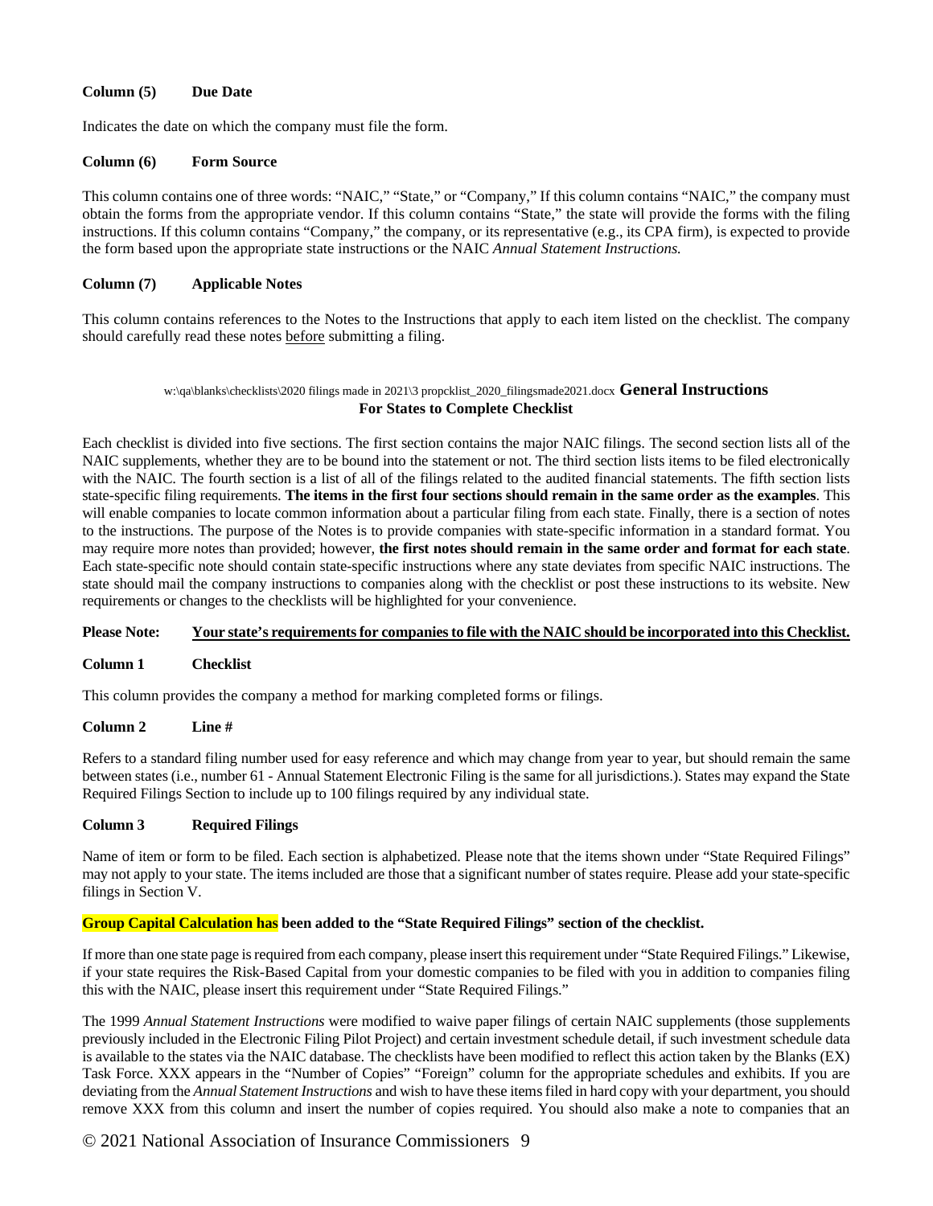## **Column (5) Due Date**

Indicates the date on which the company must file the form.

### **Column (6) Form Source**

This column contains one of three words: "NAIC," "State," or "Company," If this column contains "NAIC," the company must obtain the forms from the appropriate vendor. If this column contains "State," the state will provide the forms with the filing instructions. If this column contains "Company," the company, or its representative (e.g., its CPA firm), is expected to provide the form based upon the appropriate state instructions or the NAIC *Annual Statement Instructions.*

## **Column (7) Applicable Notes**

This column contains references to the Notes to the Instructions that apply to each item listed on the checklist. The company should carefully read these notes before submitting a filing.

### w:\qa\blanks\checklists\2020 filings made in 2021\3 propcklist\_2020\_filingsmade2021.docx **General Instructions For States to Complete Checklist**

Each checklist is divided into five sections. The first section contains the major NAIC filings. The second section lists all of the NAIC supplements, whether they are to be bound into the statement or not. The third section lists items to be filed electronically with the NAIC. The fourth section is a list of all of the filings related to the audited financial statements. The fifth section lists state-specific filing requirements. **The items in the first four sections should remain in the same order as the examples**. This will enable companies to locate common information about a particular filing from each state. Finally, there is a section of notes to the instructions. The purpose of the Notes is to provide companies with state-specific information in a standard format. You may require more notes than provided; however, **the first notes should remain in the same order and format for each state**. Each state-specific note should contain state-specific instructions where any state deviates from specific NAIC instructions. The state should mail the company instructions to companies along with the checklist or post these instructions to its website. New requirements or changes to the checklists will be highlighted for your convenience.

## **Please Note: Your state's requirements for companies to file with the NAIC should be incorporated into this Checklist.**

#### **Column 1 Checklist**

This column provides the company a method for marking completed forms or filings.

#### **Column 2 Line #**

Refers to a standard filing number used for easy reference and which may change from year to year, but should remain the same between states (i.e., number 61 - Annual Statement Electronic Filing is the same for all jurisdictions.). States may expand the State Required Filings Section to include up to 100 filings required by any individual state.

## **Column 3 Required Filings**

Name of item or form to be filed. Each section is alphabetized. Please note that the items shown under "State Required Filings" may not apply to your state. The items included are those that a significant number of states require. Please add your state-specific filings in Section V.

## **Group Capital Calculation has been added to the "State Required Filings" section of the checklist.**

If more than one state page is required from each company, please insert this requirement under "State Required Filings." Likewise, if your state requires the Risk-Based Capital from your domestic companies to be filed with you in addition to companies filing this with the NAIC, please insert this requirement under "State Required Filings."

The 1999 *Annual Statement Instructions* were modified to waive paper filings of certain NAIC supplements (those supplements previously included in the Electronic Filing Pilot Project) and certain investment schedule detail, if such investment schedule data is available to the states via the NAIC database. The checklists have been modified to reflect this action taken by the Blanks (EX) Task Force. XXX appears in the "Number of Copies" "Foreign" column for the appropriate schedules and exhibits. If you are deviating from the *Annual Statement Instructions* and wish to have these items filed in hard copy with your department, you should remove XXX from this column and insert the number of copies required. You should also make a note to companies that an

# © 2021 National Association of Insurance Commissioners 9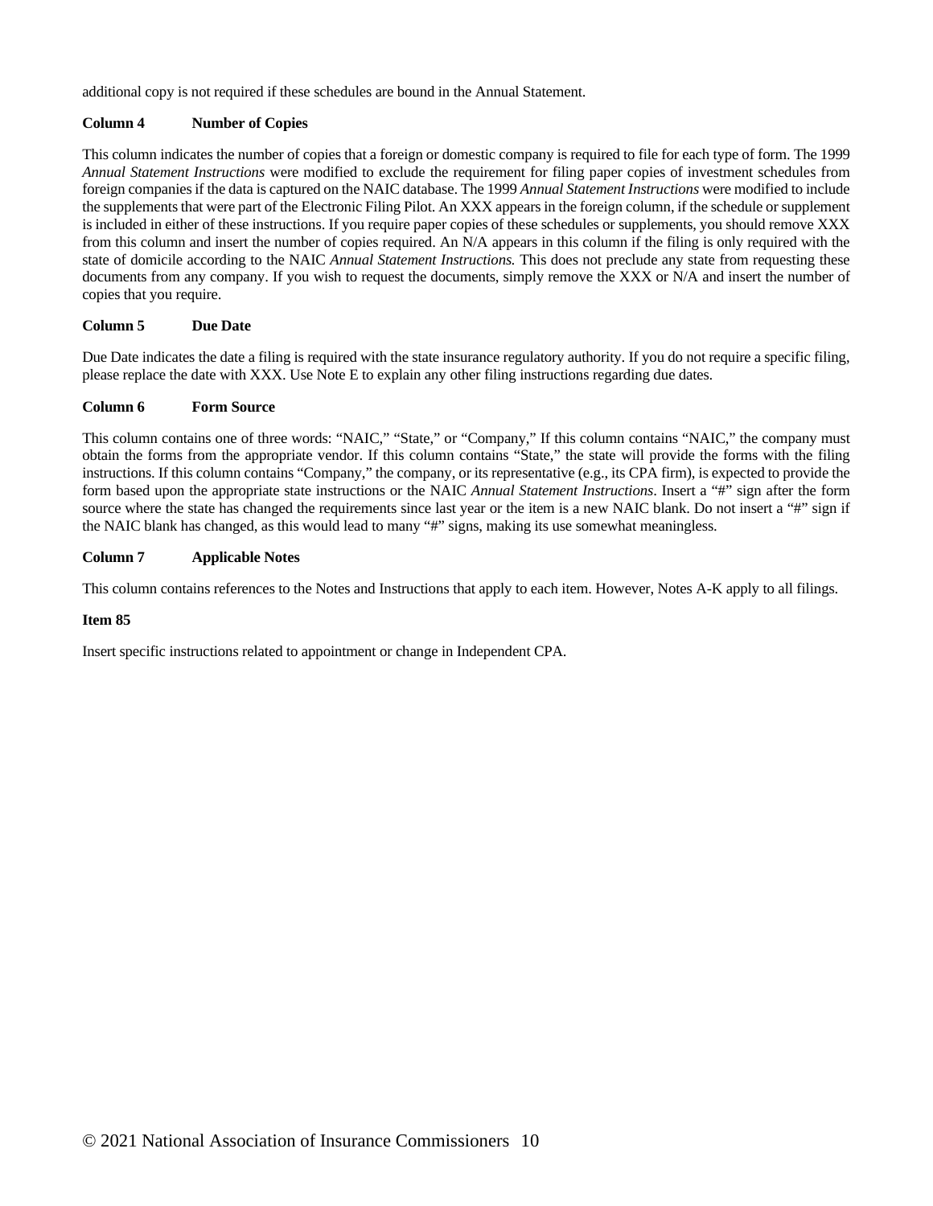additional copy is not required if these schedules are bound in the Annual Statement.

## **Column 4 Number of Copies**

This column indicates the number of copies that a foreign or domestic company is required to file for each type of form. The 1999 *Annual Statement Instructions* were modified to exclude the requirement for filing paper copies of investment schedules from foreign companies if the data is captured on the NAIC database. The 1999 *Annual Statement Instructions* were modified to include the supplements that were part of the Electronic Filing Pilot. An XXX appears in the foreign column, if the schedule or supplement is included in either of these instructions. If you require paper copies of these schedules or supplements, you should remove XXX from this column and insert the number of copies required. An N/A appears in this column if the filing is only required with the state of domicile according to the NAIC *Annual Statement Instructions.* This does not preclude any state from requesting these documents from any company. If you wish to request the documents, simply remove the XXX or N/A and insert the number of copies that you require.

## **Column 5 Due Date**

Due Date indicates the date a filing is required with the state insurance regulatory authority. If you do not require a specific filing, please replace the date with XXX. Use Note E to explain any other filing instructions regarding due dates.

### **Column 6 Form Source**

This column contains one of three words: "NAIC," "State," or "Company," If this column contains "NAIC," the company must obtain the forms from the appropriate vendor. If this column contains "State," the state will provide the forms with the filing instructions. If this column contains "Company," the company, or its representative (e.g., its CPA firm), is expected to provide the form based upon the appropriate state instructions or the NAIC *Annual Statement Instructions*. Insert a "#" sign after the form source where the state has changed the requirements since last year or the item is a new NAIC blank. Do not insert a "#" sign if the NAIC blank has changed, as this would lead to many "#" signs, making its use somewhat meaningless.

## **Column 7 Applicable Notes**

This column contains references to the Notes and Instructions that apply to each item. However, Notes A-K apply to all filings.

#### **Item 85**

Insert specific instructions related to appointment or change in Independent CPA.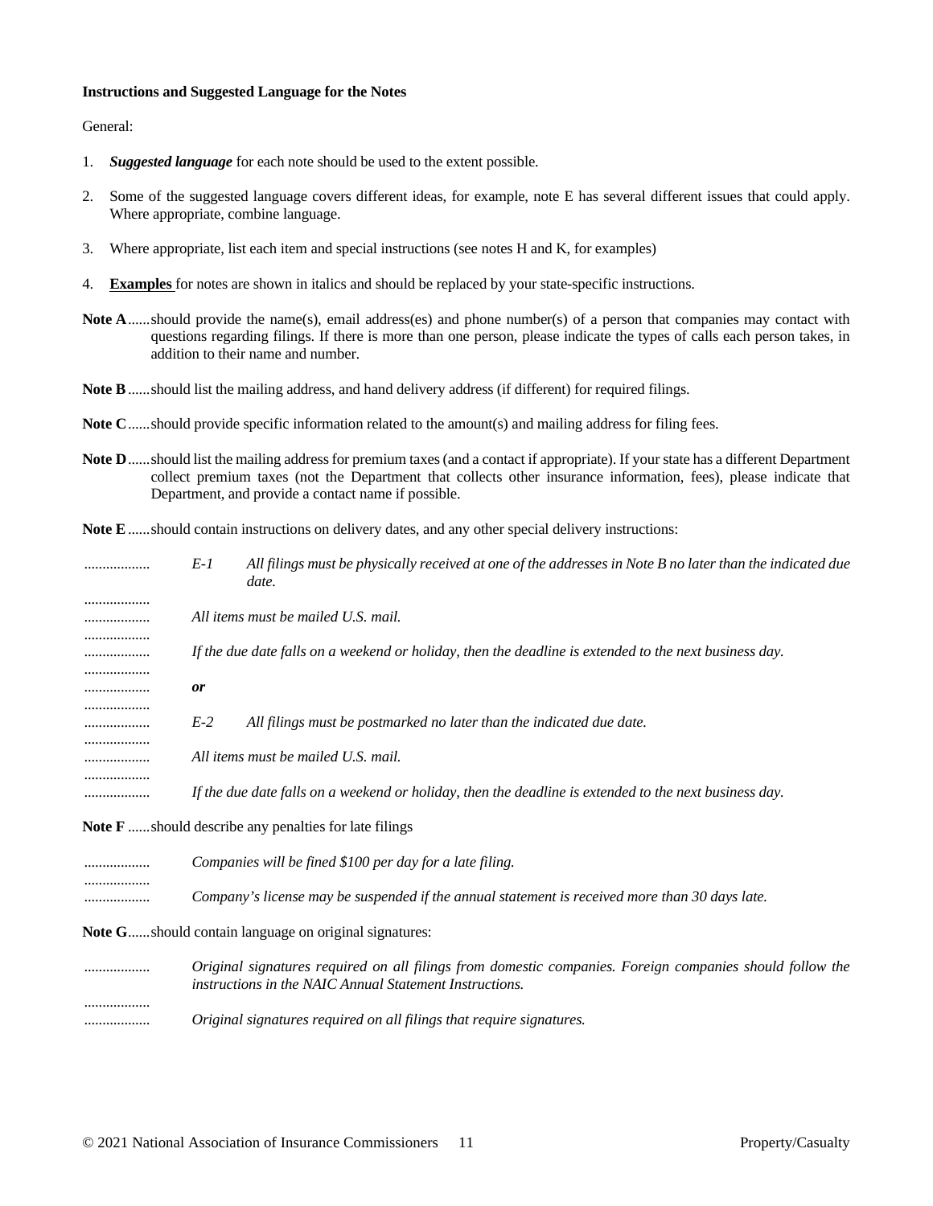#### **Instructions and Suggested Language for the Notes**

General:

- 1. *Suggested language* for each note should be used to the extent possible.
- 2. Some of the suggested language covers different ideas, for example, note E has several different issues that could apply. Where appropriate, combine language.
- 3. Where appropriate, list each item and special instructions (see notes H and K, for examples)
- 4. **Examples** for notes are shown in italics and should be replaced by your state-specific instructions.
- Note A......should provide the name(s), email address(es) and phone number(s) of a person that companies may contact with questions regarding filings. If there is more than one person, please indicate the types of calls each person takes, in addition to their name and number.
- **Note B**......should list the mailing address, and hand delivery address (if different) for required filings.
- **Note C**......should provide specific information related to the amount(s) and mailing address for filing fees.
- **Note D**......should list the mailing address for premium taxes (and a contact if appropriate). If your state has a different Department collect premium taxes (not the Department that collects other insurance information, fees), please indicate that Department, and provide a contact name if possible.
- **Note E**......should contain instructions on delivery dates, and any other special delivery instructions:

| .                | E-1   | All filings must be physically received at one of the addresses in Note B no later than the indicated due<br>date. |
|------------------|-------|--------------------------------------------------------------------------------------------------------------------|
|                  |       | All items must be mailed U.S. mail.                                                                                |
| . <b>.</b> .<br> |       | If the due date falls on a weekend or holiday, then the deadline is extended to the next business day.             |
|                  | 0r    |                                                                                                                    |
|                  | $E-2$ | All filings must be postmarked no later than the indicated due date.                                               |
|                  |       | All items must be mailed U.S. mail.                                                                                |
|                  |       | If the due date falls on a weekend or holiday, then the deadline is extended to the next business day.             |
|                  |       | NT 22 2 17 20 21 21 21 22 23 24 25 26 27 28 29 20 21 22 23 24 25 26 27 28 29 20 21 22 23 24 25 26 27 27 27 27      |

**Note F** ......should describe any penalties for late filings

| <br>Companies will be fined \$100 per day for a late filing.                                           |
|--------------------------------------------------------------------------------------------------------|
| <br><br>Company's license may be suspended if the annual statement is received more than 30 days late. |

**Note G**......should contain language on original signatures:

.................. *Original signatures required on all filings from domestic companies. Foreign companies should follow the instructions in the NAIC Annual Statement Instructions.* .................. .................. *Original signatures required on all filings that require signatures.*